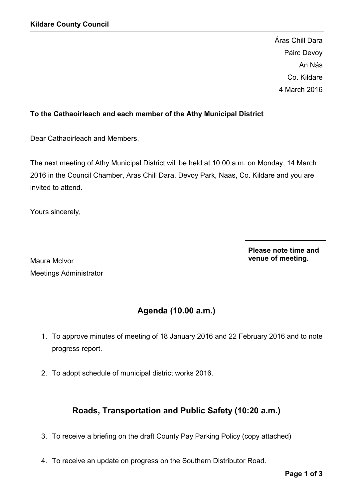Áras Chill Dara Páirc Devoy An Nás Co. Kildare 4 March 2016

## To the Cathaoirleach and each member of the Athy Municipal District

Dear Cathaoirleach and Members,

The next meeting of Athy Municipal District will be held at 10.00 a.m. on Monday, 14 March 2016 in the Council Chamber, Aras Chill Dara, Devoy Park, Naas, Co. Kildare and you are invited to attend.

Yours sincerely,

Maura McIvor Meetings Administrator Please note time and venue of meeting.

# Agenda (10.00 a.m.)

- 1. To approve minutes of meeting of 18 January 2016 and 22 February 2016 and to note progress report.
- 2. To adopt schedule of municipal district works 2016.

## Roads, Transportation and Public Safety (10:20 a.m.)

- 3. To receive a briefing on the draft County Pay Parking Policy (copy attached)
- 4. To receive an update on progress on the Southern Distributor Road.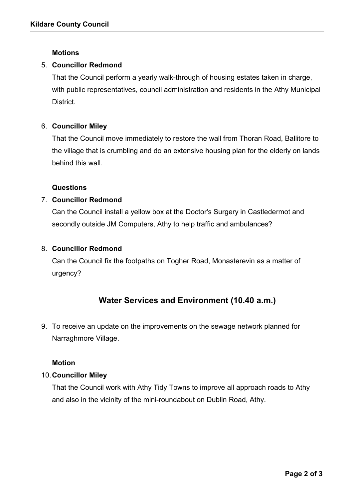## **Motions**

## 5. Councillor Redmond

That the Council perform a yearly walk-through of housing estates taken in charge, with public representatives, council administration and residents in the Athy Municipal District.

### 6. Councillor Miley

That the Council move immediately to restore the wall from Thoran Road, Ballitore to the village that is crumbling and do an extensive housing plan for the elderly on lands behind this wall.

#### Questions

## 7. Councillor Redmond

Can the Council install a yellow box at the Doctor's Surgery in Castledermot and secondly outside JM Computers, Athy to help traffic and ambulances?

## 8. Councillor Redmond

Can the Council fix the footpaths on Togher Road, Monasterevin as a matter of urgency?

## Water Services and Environment (10.40 a.m.)

9. To receive an update on the improvements on the sewage network planned for Narraghmore Village.

#### Motion

#### 10.Councillor Miley

That the Council work with Athy Tidy Towns to improve all approach roads to Athy and also in the vicinity of the mini-roundabout on Dublin Road, Athy.